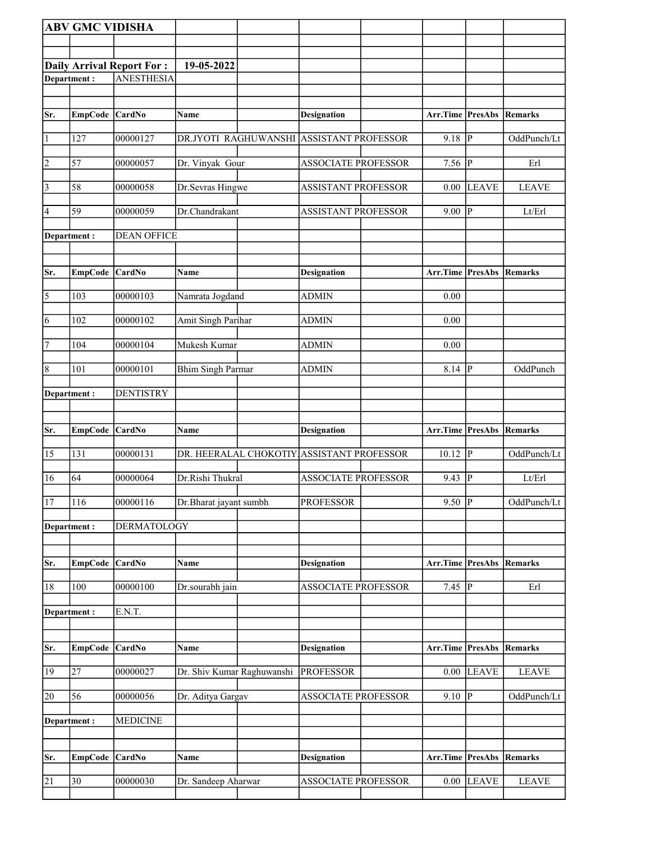|                       | <b>ABV GMC VIDISHA</b> |                                  |                            |                                           |                         |                |              |
|-----------------------|------------------------|----------------------------------|----------------------------|-------------------------------------------|-------------------------|----------------|--------------|
|                       |                        |                                  |                            |                                           |                         |                |              |
|                       |                        | <b>Daily Arrival Report For:</b> | 19-05-2022                 |                                           |                         |                |              |
|                       | Department:            | <b>ANESTHESIA</b>                |                            |                                           |                         |                |              |
|                       |                        |                                  |                            |                                           |                         |                |              |
| Sr.                   | EmpCode CardNo         |                                  | Name                       | <b>Designation</b>                        | <b>Arr.Time PresAbs</b> |                | Remarks      |
|                       |                        |                                  |                            |                                           |                         |                |              |
| $\vert$ 1             | 127                    | 00000127                         | DR.JYOTI RAGHUWANSHI       | <b>ASSISTANT PROFESSOR</b>                | 9.18                    | $ {\bf p} $    | OddPunch/Lt  |
| $\vert$ 2             | 57                     | 00000057                         | Dr. Vinyak Gour            | <b>ASSOCIATE PROFESSOR</b>                | $7.56$ P                |                | Erl          |
| $\vert$ 3             | 58                     | 00000058                         | Dr.Sevras Hingwe           | <b>ASSISTANT PROFESSOR</b>                | 0.00                    | <b>LEAVE</b>   | <b>LEAVE</b> |
| 4                     | 59                     | 00000059                         | Dr.Chandrakant             | <b>ASSISTANT PROFESSOR</b>                | 9.00                    | P              | Lt/Erl       |
|                       | Department :           | <b>DEAN OFFICE</b>               |                            |                                           |                         |                |              |
| Sr.                   | <b>EmpCode</b>         | CardNo                           | Name                       | <b>Designation</b>                        | Arr.Time PresAbs        |                | Remarks      |
| $\overline{\sqrt{5}}$ | 103                    | 00000103                         | Namrata Jogdand            | <b>ADMIN</b>                              | 0.00                    |                |              |
| 6                     | 102                    | 00000102                         | Amit Singh Parihar         | ADMIN                                     | 0.00                    |                |              |
| 7                     | 104                    | 00000104                         | Mukesh Kumar               | <b>ADMIN</b>                              | 0.00                    |                |              |
| $\sqrt{8}$            | 101                    | 00000101                         | <b>Bhim Singh Parmar</b>   | <b>ADMIN</b>                              | 8.14                    | P              | OddPunch     |
|                       | Department:            | <b>DENTISTRY</b>                 |                            |                                           |                         |                |              |
| Sr.                   | <b>EmpCode</b>         | CardNo                           | Name                       | <b>Designation</b>                        | <b>Arr.Time PresAbs</b> |                | Remarks      |
| 15                    | 131                    | 00000131                         |                            | DR. HEERALAL CHOKOTIY ASSISTANT PROFESSOR | $10.12$ P               |                | OddPunch/Lt  |
|                       |                        |                                  |                            |                                           |                         |                |              |
| 16                    | 64                     | 00000064                         | Dr.Rishi Thukral           | <b>ASSOCIATE PROFESSOR</b>                | 9.43                    | P              | Lt/Erl       |
| 17                    | 116                    | 00000116                         | Dr.Bharat jayant sumbh     | <b>PROFESSOR</b>                          | $9.50$ P                |                | OddPunch/Lt  |
|                       | Department:            | <b>DERMATOLOGY</b>               |                            |                                           |                         |                |              |
| Sr.                   | <b>EmpCode</b>         | CardNo                           | Name                       | <b>Designation</b>                        | Arr.Time PresAbs        |                | Remarks      |
| 18                    | 100                    | 00000100                         | Dr.sourabh jain            | <b>ASSOCIATE PROFESSOR</b>                | 7.45                    | $\overline{P}$ | Erl          |
|                       | Department:            | E.N.T.                           |                            |                                           |                         |                |              |
|                       |                        |                                  |                            |                                           |                         |                |              |
| Sr.                   | EmpCode CardNo         |                                  | Name                       | <b>Designation</b>                        | Arr.Time PresAbs        |                | Remarks      |
| 19                    | 27                     | 00000027                         | Dr. Shiv Kumar Raghuwanshi | <b>PROFESSOR</b>                          | 0.00                    | LEAVE          | <b>LEAVE</b> |
| 20                    | 56                     | 00000056                         | Dr. Aditya Gargav          | ASSOCIATE PROFESSOR                       | 9.10                    | P              | OddPunch/Lt  |
|                       | Department:            | <b>MEDICINE</b>                  |                            |                                           |                         |                |              |
| Sr.                   | <b>EmpCode</b>         | <b>CardNo</b>                    | Name                       | <b>Designation</b>                        | Arr.Time PresAbs        |                | Remarks      |
| $\overline{21}$       | 30                     | 00000030                         | Dr. Sandeep Aharwar        | <b>ASSOCIATE PROFESSOR</b>                | 0.00                    | <b>LEAVE</b>   | <b>LEAVE</b> |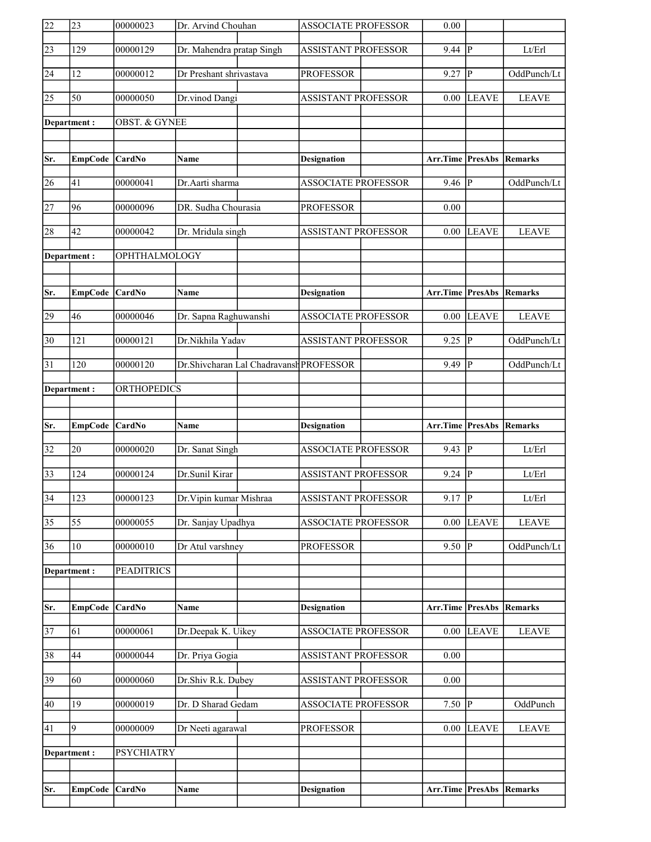| $\overline{22}$ | $\overline{23}$  | 00000023                 | Dr. Arvind Chouhan                       | <b>ASSOCIATE PROFESSOR</b> | 0.00             |                |              |
|-----------------|------------------|--------------------------|------------------------------------------|----------------------------|------------------|----------------|--------------|
| $\sqrt{23}$     | 129              | 00000129                 | Dr. Mahendra pratap Singh                | <b>ASSISTANT PROFESSOR</b> | 9.44             | lр             | Lt/Erl       |
| 24              | 12               | 00000012                 | Dr Preshant shrivastava                  | <b>PROFESSOR</b>           | 9.27             | $\overline{P}$ | OddPunch/Lt  |
| 25              | 50               | 00000050                 | Dr.vinod Dangi                           | <b>ASSISTANT PROFESSOR</b> | 0.00             | <b>LEAVE</b>   | <b>LEAVE</b> |
|                 | Department:      | <b>OBST. &amp; GYNEE</b> |                                          |                            |                  |                |              |
|                 |                  |                          |                                          |                            |                  |                |              |
| Sr.             | EmpCode CardNo   |                          | Name                                     | <b>Designation</b>         | Arr.Time PresAbs |                | Remarks      |
| 26              | 41               | 00000041                 | Dr.Aarti sharma                          | <b>ASSOCIATE PROFESSOR</b> | 9.46             | lР             | OddPunch/Lt  |
| 27              | 96               | 00000096                 | DR. Sudha Chourasia                      | <b>PROFESSOR</b>           | 0.00             |                |              |
| 28              | 42               | 00000042                 | Dr. Mridula singh                        | <b>ASSISTANT PROFESSOR</b> | $0.00\,$         | <b>LEAVE</b>   | <b>LEAVE</b> |
|                 | Department:      | OPHTHALMOLOGY            |                                          |                            |                  |                |              |
|                 |                  |                          |                                          |                            |                  |                |              |
| Sr.             | EmpCode CardNo   |                          | Name                                     | <b>Designation</b>         | Arr.Time PresAbs |                | Remarks      |
| 29              | 46               | 00000046                 | Dr. Sapna Raghuwanshi                    | <b>ASSOCIATE PROFESSOR</b> | 0.00             | <b>LEAVE</b>   | <b>LEAVE</b> |
| $ 30\rangle$    | 121              | 00000121                 | Dr.Nikhila Yadav                         | <b>ASSISTANT PROFESSOR</b> | 9.25             | ∣P             | OddPunch/Lt  |
| $\overline{31}$ | 120              | 00000120                 | Dr. Shivcharan Lal Chadravansh PROFESSOR |                            | $9.49$ P         |                | OddPunch/Lt  |
|                 | Department:      | <b>ORTHOPEDICS</b>       |                                          |                            |                  |                |              |
|                 |                  |                          |                                          |                            |                  |                |              |
|                 |                  |                          |                                          |                            |                  |                |              |
| Sr.             | EmpCode CardNo   |                          | Name                                     | <b>Designation</b>         | Arr.Time PresAbs |                | Remarks      |
| 32              | 20               | 00000020                 | Dr. Sanat Singh                          | <b>ASSOCIATE PROFESSOR</b> | 9.43             | ∣P             | Lt/Erl       |
| $\overline{33}$ | 124              | 00000124                 | Dr.Sunil Kirar                           | <b>ASSISTANT PROFESSOR</b> | 9.24             | lР             | Lt/Erl       |
| $\overline{34}$ | $\overline{123}$ | 00000123                 | Dr. Vipin kumar Mishraa                  | ASSISTANT PROFESSOR        | $9.17$ P         |                | Lt/Erl       |
| $\overline{35}$ | 55               | 00000055                 | Dr. Sanjay Upadhya                       | <b>ASSOCIATE PROFESSOR</b> | 0.00             | <b>LEAVE</b>   | <b>LEAVE</b> |
| 36              | 10               | 00000010                 | Dr Atul varshney                         | <b>PROFESSOR</b>           | 9.50             | ₽              | OddPunch/Lt  |
|                 | Department:      | <b>PEADITRICS</b>        |                                          |                            |                  |                |              |
|                 |                  |                          |                                          |                            |                  |                |              |
| Sr.             | <b>EmpCode</b>   | CardNo                   | Name                                     | <b>Designation</b>         | Arr.Time PresAbs |                | Remarks      |
| 37              | 61               | 00000061                 | Dr.Deepak K. Uikey                       | <b>ASSOCIATE PROFESSOR</b> | 0.00             | <b>LEAVE</b>   | <b>LEAVE</b> |
| 38              | 44               | 00000044                 | Dr. Priya Gogia                          | ASSISTANT PROFESSOR        | 0.00             |                |              |
| 39              | 60               | 00000060                 | Dr.Shiv R.k. Dubey                       | ASSISTANT PROFESSOR        | 0.00             |                |              |
| 40              | 19               | 00000019                 | Dr. D Sharad Gedam                       | ASSOCIATE PROFESSOR        | 7.50 $\sqrt{P}$  |                | OddPunch     |
| 41              | $\overline{9}$   | 00000009                 | Dr Neeti agarawal                        | <b>PROFESSOR</b>           |                  | $0.00$ LEAVE   | <b>LEAVE</b> |
|                 | Department:      | <b>PSYCHIATRY</b>        |                                          |                            |                  |                |              |
|                 |                  |                          |                                          |                            |                  |                |              |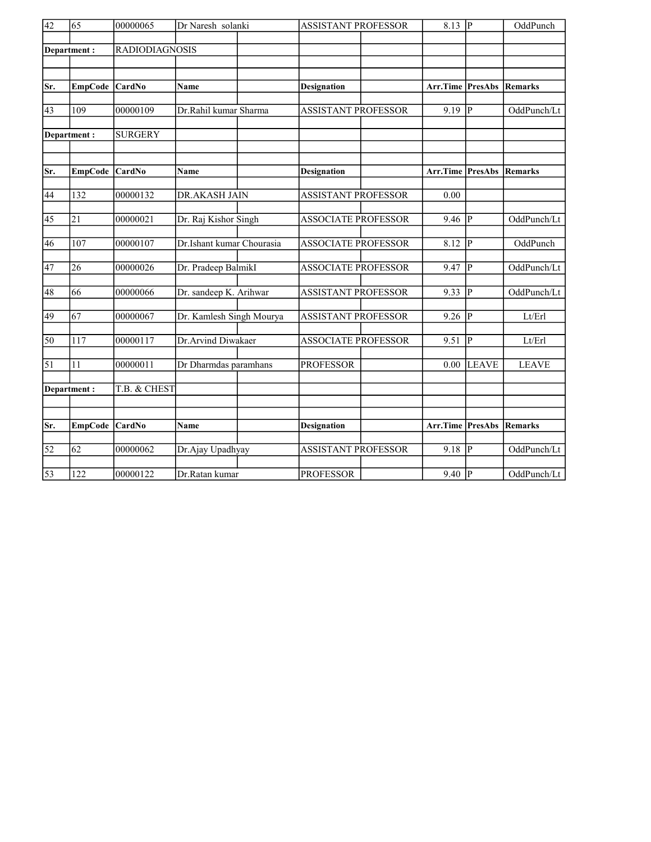| $\overline{42}$ | $\overline{65}$ | 00000065              | Dr Naresh solanki         | <b>ASSISTANT PROFESSOR</b> | $8.13$ P                        |                | OddPunch     |
|-----------------|-----------------|-----------------------|---------------------------|----------------------------|---------------------------------|----------------|--------------|
|                 | Department:     | <b>RADIODIAGNOSIS</b> |                           |                            |                                 |                |              |
|                 |                 |                       |                           |                            |                                 |                |              |
|                 |                 |                       |                           |                            |                                 |                |              |
| Sr.             | <b>EmpCode</b>  | CardNo                | Name                      | <b>Designation</b>         | Arr.Time                        | PresAbs        | Remarks      |
|                 |                 |                       |                           |                            |                                 |                |              |
| 43              | 109             | 00000109              | Dr.Rahil kumar Sharma     | <b>ASSISTANT PROFESSOR</b> | 9.19                            | P              | OddPunch/Lt  |
|                 | Department:     | <b>SURGERY</b>        |                           |                            |                                 |                |              |
|                 |                 |                       |                           |                            |                                 |                |              |
|                 |                 |                       |                           |                            |                                 |                |              |
| Sr.             | <b>EmpCode</b>  | $\vert$ CardNo        | <b>Name</b>               | Designation                | <b>Arr.Time PresAbs Remarks</b> |                |              |
|                 | 132             | 00000132              |                           |                            |                                 |                |              |
| 44              |                 |                       | DR.AKASH JAIN             | <b>ASSISTANT PROFESSOR</b> | 0.00                            |                |              |
| 45              | $\overline{21}$ | 00000021              | Dr. Raj Kishor Singh      | <b>ASSOCIATE PROFESSOR</b> | 9.46                            | P              | OddPunch/Lt  |
|                 |                 |                       |                           |                            |                                 |                |              |
| 46              | 107             | 00000107              | Dr.Ishant kumar Chourasia | <b>ASSOCIATE PROFESSOR</b> | 8.12                            | <sup> p</sup>  | OddPunch     |
|                 |                 |                       |                           |                            |                                 |                |              |
| 47              | 26              | 00000026              | Dr. Pradeep BalmikI       | <b>ASSOCIATE PROFESSOR</b> | 9.47                            | <sup> </sup> P | OddPunch/Lt  |
| 48              | 66              | 00000066              | Dr. sandeep K. Arihwar    | <b>ASSISTANT PROFESSOR</b> | 9.33                            | P              | OddPunch/Lt  |
|                 |                 |                       |                           |                            |                                 |                |              |
| 49              | 67              | 00000067              | Dr. Kamlesh Singh Mourya  | <b>ASSISTANT PROFESSOR</b> | 9.26  P                         |                | Lt/Erl       |
|                 |                 |                       |                           |                            |                                 |                |              |
| 50              | 117             | 00000117              | Dr.Arvind Diwakaer        | <b>ASSOCIATE PROFESSOR</b> | 9.51                            | P              | Lt/Erl       |
| 51              | 11              | 00000011              | Dr Dharmdas paramhans     | <b>PROFESSOR</b>           | 0.00                            | <b>LEAVE</b>   | <b>LEAVE</b> |
|                 |                 |                       |                           |                            |                                 |                |              |
|                 | Department:     | T.B. & CHEST          |                           |                            |                                 |                |              |
|                 |                 |                       |                           |                            |                                 |                |              |
|                 |                 |                       |                           |                            |                                 |                |              |
| Sr.             | <b>EmpCode</b>  | <b>CardNo</b>         | Name                      | <b>Designation</b>         | Arr.Time PresAbs                |                | Remarks      |
| $\overline{52}$ | $\overline{62}$ | 00000062              | Dr.Ajay Upadhyay          | <b>ASSISTANT PROFESSOR</b> | 9.18                            | $\overline{P}$ | OddPunch/Lt  |
|                 |                 |                       |                           |                            |                                 |                |              |
| $\overline{53}$ | 122             | 00000122              | Dr.Ratan kumar            | <b>PROFESSOR</b>           | $9.40$ P                        |                | OddPunch/Lt  |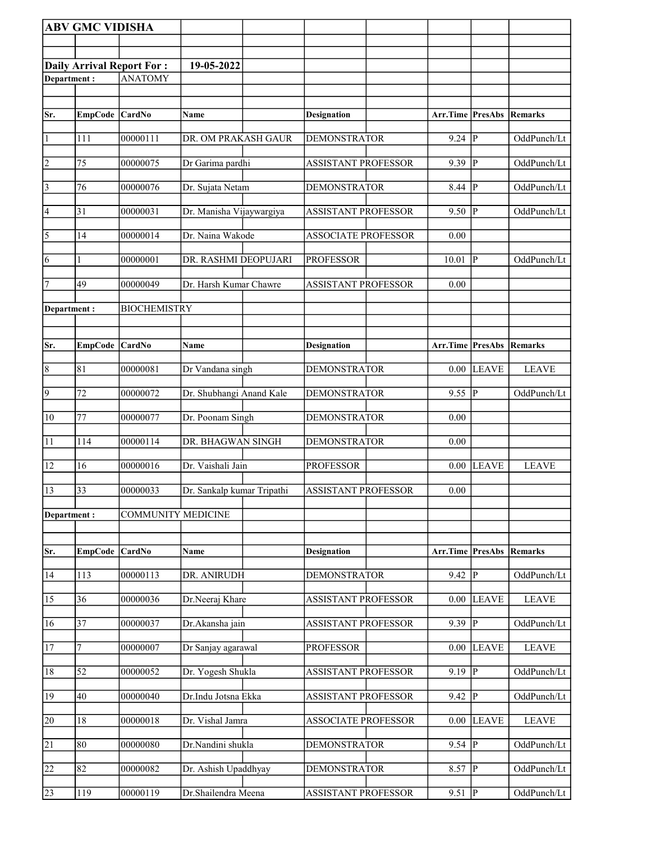|                 | <b>ABV GMC VIDISHA</b> |                                  |                            |                            |          |                        |              |
|-----------------|------------------------|----------------------------------|----------------------------|----------------------------|----------|------------------------|--------------|
|                 |                        |                                  |                            |                            |          |                        |              |
|                 |                        | <b>Daily Arrival Report For:</b> | 19-05-2022                 |                            |          |                        |              |
| Department:     |                        | <b>ANATOMY</b>                   |                            |                            |          |                        |              |
|                 |                        |                                  |                            |                            |          |                        |              |
| Sr.             | EmpCode CardNo         |                                  | Name                       | <b>Designation</b>         | Arr.Time | PresAbs                | Remarks      |
|                 |                        |                                  |                            |                            |          |                        |              |
| $\vert$ 1       | 111                    | 00000111                         | DR. OM PRAKASH GAUR        | <b>DEMONSTRATOR</b>        | 9.24     | IР                     | OddPunch/Lt  |
| $\overline{2}$  | 75                     | 00000075                         | Dr Garima pardhi           | <b>ASSISTANT PROFESSOR</b> | 9.39     | P                      | OddPunch/Lt  |
| $\vert$ 3       | 76                     | 00000076                         | Dr. Sujata Netam           | <b>DEMONSTRATOR</b>        | 8.44     | P                      | OddPunch/Lt  |
| $\vert 4 \vert$ | 31                     | 00000031                         | Dr. Manisha Vijaywargiya   | <b>ASSISTANT PROFESSOR</b> | 9.50     | P                      | OddPunch/Lt  |
| $\overline{5}$  | 14                     | 00000014                         | Dr. Naina Wakode           | <b>ASSOCIATE PROFESSOR</b> | 0.00     |                        |              |
| 6               |                        | 00000001                         | DR. RASHMI DEOPUJARI       | <b>PROFESSOR</b>           | 10.01    | P                      | OddPunch/Lt  |
| 7               | 49                     | 00000049                         | Dr. Harsh Kumar Chawre     | <b>ASSISTANT PROFESSOR</b> | 0.00     |                        |              |
| Department:     |                        | <b>BIOCHEMISTRY</b>              |                            |                            |          |                        |              |
|                 |                        |                                  |                            |                            |          |                        |              |
| Sr.             | <b>EmpCode</b>         | <b>CardNo</b>                    | <b>Name</b>                | <b>Designation</b>         | Arr.Time | <b>PresAbs</b>         | Remarks      |
|                 |                        |                                  |                            |                            |          |                        |              |
| $\vert 8$       | 81                     | 00000081                         | Dr Vandana singh           | <b>DEMONSTRATOR</b>        | 0.00     | <b>LEAVE</b>           | <b>LEAVE</b> |
| $\overline{9}$  | 72                     | 00000072                         | Dr. Shubhangi Anand Kale   | <b>DEMONSTRATOR</b>        | 9.55     | P                      | OddPunch/Lt  |
| $ 10\rangle$    | 77                     | 00000077                         | Dr. Poonam Singh           | <b>DEMONSTRATOR</b>        | 0.00     |                        |              |
| 11              | 114                    | 00000114                         | DR. BHAGWAN SINGH          | <b>DEMONSTRATOR</b>        | 0.00     |                        |              |
| 12              | 16                     | 00000016                         | Dr. Vaishali Jain          | <b>PROFESSOR</b>           | 0.00     | <b>LEAVE</b>           | <b>LEAVE</b> |
| 13              | 33                     | 00000033                         | Dr. Sankalp kumar Tripathi | <b>ASSISTANT PROFESSOR</b> | 0.00     |                        |              |
| Department:     |                        | <b>COMMUNITY MEDICINE</b>        |                            |                            |          |                        |              |
|                 |                        |                                  |                            |                            |          |                        |              |
| Sr.             | <b>EmpCode</b>         | CardNo                           | Name                       | <b>Designation</b>         | Arr.Time | <b>PresAbs Remarks</b> |              |
| 14              | 113                    | 00000113                         | DR. ANIRUDH                | <b>DEMONSTRATOR</b>        | 9.42     | P                      | OddPunch/Lt  |
| 15              | 36                     | 00000036                         | Dr.Neeraj Khare            | <b>ASSISTANT PROFESSOR</b> | 0.00     | <b>LEAVE</b>           | <b>LEAVE</b> |
| 16              | 37                     | 00000037                         | Dr.Akansha jain            | <b>ASSISTANT PROFESSOR</b> | 9.39     | $\mathbf{P}$           | OddPunch/Lt  |
| 17              | 7                      | 00000007                         | Dr Sanjay agarawal         | <b>PROFESSOR</b>           | 0.00     | <b>LEAVE</b>           | <b>LEAVE</b> |
| 18              | 52                     | 00000052                         | Dr. Yogesh Shukla          | <b>ASSISTANT PROFESSOR</b> | 9.19     | $\mathbf{P}$           | OddPunch/Lt  |
| 19              | 40                     | 00000040                         | Dr.Indu Jotsna Ekka        | <b>ASSISTANT PROFESSOR</b> | 9.42     | P                      | OddPunch/Lt  |
| 20              | 18                     | 00000018                         | Dr. Vishal Jamra           | <b>ASSOCIATE PROFESSOR</b> | 0.00     | <b>LEAVE</b>           | <b>LEAVE</b> |
| 21              | 80                     | 00000080                         | Dr.Nandini shukla          | <b>DEMONSTRATOR</b>        | 9.54     | $\mathbf{P}$           | OddPunch/Lt  |
| 22              | 82                     | 00000082                         | Dr. Ashish Upaddhyay       | <b>DEMONSTRATOR</b>        | 8.57     | $\mathbf{P}$           | OddPunch/Lt  |
| 23              | 119                    | 00000119                         | Dr.Shailendra Meena        | <b>ASSISTANT PROFESSOR</b> | 9.51     | P                      | OddPunch/Lt  |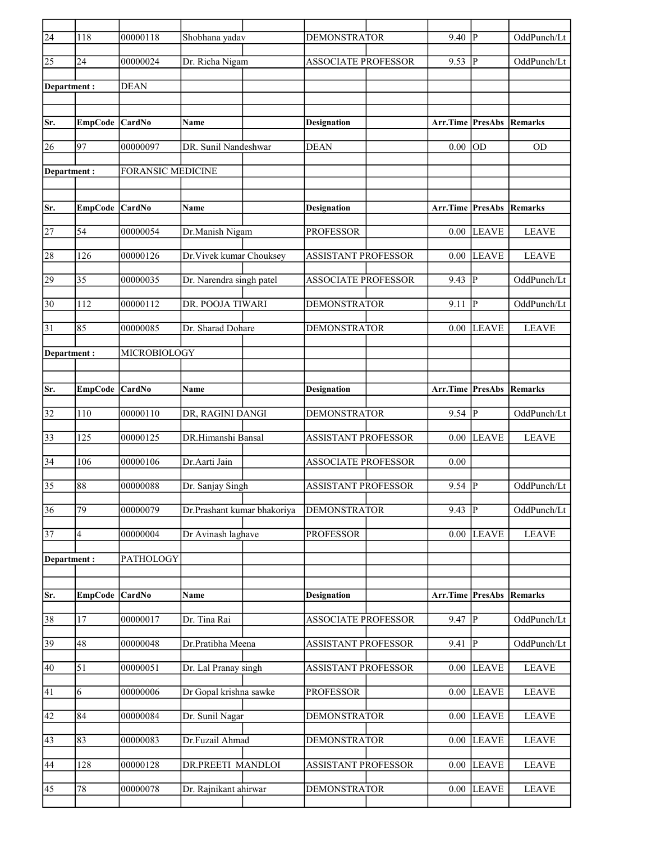| $\overline{24}$ | 118             | 00000118                 | Shobhana yadav              | <b>DEMONSTRATOR</b>        | 9.40                            | P                      | OddPunch/Lt  |
|-----------------|-----------------|--------------------------|-----------------------------|----------------------------|---------------------------------|------------------------|--------------|
| 25              | 24              | 00000024                 | Dr. Richa Nigam             | <b>ASSOCIATE PROFESSOR</b> | 9.53                            | P                      | OddPunch/Lt  |
| Department:     |                 | <b>DEAN</b>              |                             |                            |                                 |                        |              |
|                 |                 |                          |                             |                            |                                 |                        |              |
| Sr.             | EmpCode CardNo  |                          | Name                        | <b>Designation</b>         | <b>Arr.Time PresAbs Remarks</b> |                        |              |
| 26              | 97              | 00000097                 | DR. Sunil Nandeshwar        | <b>DEAN</b>                | 0.00                            | OD                     | <b>OD</b>    |
| Department:     |                 | <b>FORANSIC MEDICINE</b> |                             |                            |                                 |                        |              |
|                 |                 |                          |                             |                            |                                 |                        |              |
| Sr.             | EmpCode CardNo  |                          | Name                        | <b>Designation</b>         | Arr.Time                        | <b>PresAbs</b>         | Remarks      |
| 27              | 54              | 00000054                 | Dr.Manish Nigam             | <b>PROFESSOR</b>           | 0.00                            | <b>LEAVE</b>           | <b>LEAVE</b> |
| 28              | 126             | 00000126                 | Dr. Vivek kumar Chouksey    | <b>ASSISTANT PROFESSOR</b> | 0.00                            | <b>LEAVE</b>           | <b>LEAVE</b> |
| 29              | 35              | 00000035                 | Dr. Narendra singh patel    | <b>ASSOCIATE PROFESSOR</b> | 9.43                            | IР                     | OddPunch/Lt  |
| 30              | 112             | 00000112                 | DR. POOJA TIWARI            | <b>DEMONSTRATOR</b>        | 9.11                            | $\mathbf{P}$           | OddPunch/Lt  |
| 31              | 85              | 00000085                 | Dr. Sharad Dohare           | <b>DEMONSTRATOR</b>        | 0.00                            | <b>LEAVE</b>           | <b>LEAVE</b> |
|                 |                 | MICROBIOLOGY             |                             |                            |                                 |                        |              |
| Department :    |                 |                          |                             |                            |                                 |                        |              |
| Sr.             | EmpCode CardNo  |                          | Name                        | <b>Designation</b>         | Arr.Time                        | <b>PresAbs Remarks</b> |              |
| 32              | 110             | 00000110                 | DR, RAGINI DANGI            | <b>DEMONSTRATOR</b>        | $9.54$ P                        |                        | OddPunch/Lt  |
| 33              | 125             | 00000125                 | DR.Himanshi Bansal          | <b>ASSISTANT PROFESSOR</b> | 0.00                            | <b>LEAVE</b>           | <b>LEAVE</b> |
| 34              | 106             | 00000106                 | Dr.Aarti Jain               | <b>ASSOCIATE PROFESSOR</b> | 0.00                            |                        |              |
| 35              | 88              | 00000088                 | Dr. Sanjay Singh            | <b>ASSISTANT PROFESSOR</b> | 9.54                            | $\mathbf{P}$           | OddPunch/Lt  |
|                 |                 |                          |                             |                            |                                 |                        |              |
| 36              | $\overline{79}$ | 00000079                 | Dr.Prashant kumar bhakoriya | <b>DEMONSTRATOR</b>        | 9.43                            | $\overline{P}$         | OddPunch/Lt  |
| 37              | $\overline{4}$  | 00000004                 | Dr Avinash laghave          | <b>PROFESSOR</b>           | 0.00                            | <b>LEAVE</b>           | <b>LEAVE</b> |
| Department:     |                 | PATHOLOGY                |                             |                            |                                 |                        |              |
|                 |                 |                          |                             |                            |                                 |                        |              |
| Sr.             | <b>EmpCode</b>  | CardNo                   | Name                        | <b>Designation</b>         | Arr.Time                        | <b>PresAbs</b>         | Remarks      |
| 38              | 17              | 00000017                 | Dr. Tina Rai                | ASSOCIATE PROFESSOR        | 9.47                            | $\overline{P}$         | OddPunch/Lt  |
| 39              | 48              | 00000048                 | Dr.Pratibha Meena           | <b>ASSISTANT PROFESSOR</b> | 9.41                            | P                      | OddPunch/Lt  |
| 40              | 51              | 00000051                 | Dr. Lal Pranay singh        | <b>ASSISTANT PROFESSOR</b> | 0.00                            | <b>LEAVE</b>           | <b>LEAVE</b> |
| 41              | 6               | 00000006                 | Dr Gopal krishna sawke      | <b>PROFESSOR</b>           | 0.00                            | <b>LEAVE</b>           | <b>LEAVE</b> |
| 42              | 84              | 00000084                 | Dr. Sunil Nagar             | <b>DEMONSTRATOR</b>        | 0.00                            | LEAVE                  | <b>LEAVE</b> |
| 43              | 83              | 00000083                 | Dr.Fuzail Ahmad             | <b>DEMONSTRATOR</b>        | 0.00                            | <b>LEAVE</b>           | <b>LEAVE</b> |
| 44              | 128             | 00000128                 | DR.PREETI MANDLOI           | ASSISTANT PROFESSOR        | 0.00                            | <b>LEAVE</b>           | <b>LEAVE</b> |
| 45              | 78              | 00000078                 | Dr. Rajnikant ahirwar       | <b>DEMONSTRATOR</b>        | 0.00                            | <b>LEAVE</b>           | <b>LEAVE</b> |
|                 |                 |                          |                             |                            |                                 |                        |              |